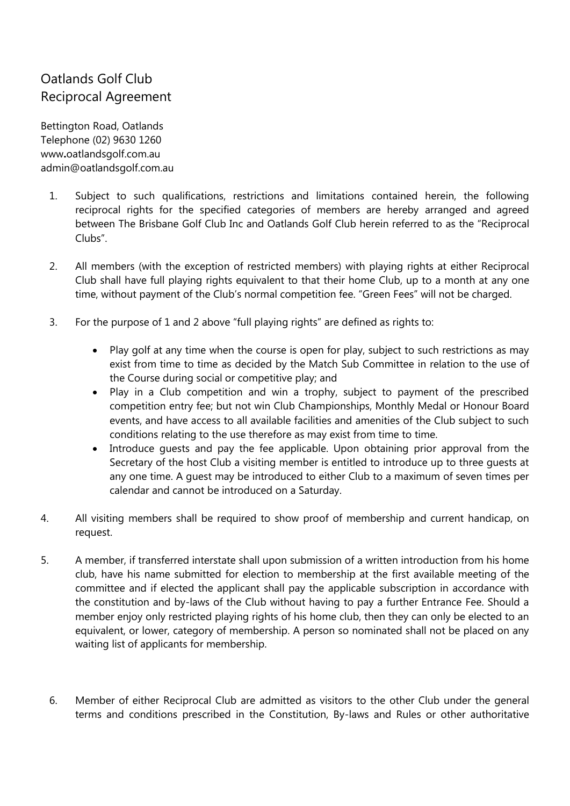## Oatlands Golf Club Reciprocal Agreement

Bettington Road, Oatlands Telephone (02) 9630 1260 www**.**[oatlandsgolf.com.au](http://www.oatlandsgolf.com.au/) [admin@oatlandsgolf.com.au](mailto:admin@oatlandsgolf.com.au)

- 1. Subject to such qualifications, restrictions and limitations contained herein, the following reciprocal rights for the specified categories of members are hereby arranged and agreed between The Brisbane Golf Club Inc and Oatlands Golf Club herein referred to as the "Reciprocal Clubs".
- 2. All members (with the exception of restricted members) with playing rights at either Reciprocal Club shall have full playing rights equivalent to that their home Club, up to a month at any one time, without payment of the Club's normal competition fee. "Green Fees" will not be charged.
- 3. For the purpose of 1 and 2 above "full playing rights" are defined as rights to:
	- Play golf at any time when the course is open for play, subject to such restrictions as may exist from time to time as decided by the Match Sub Committee in relation to the use of the Course during social or competitive play; and
	- Play in a Club competition and win a trophy, subject to payment of the prescribed competition entry fee; but not win Club Championships, Monthly Medal or Honour Board events, and have access to all available facilities and amenities of the Club subject to such conditions relating to the use therefore as may exist from time to time.
	- Introduce quests and pay the fee applicable. Upon obtaining prior approval from the Secretary of the host Club a visiting member is entitled to introduce up to three guests at any one time. A guest may be introduced to either Club to a maximum of seven times per calendar and cannot be introduced on a Saturday.
- 4. All visiting members shall be required to show proof of membership and current handicap, on request.
- 5. A member, if transferred interstate shall upon submission of a written introduction from his home club, have his name submitted for election to membership at the first available meeting of the committee and if elected the applicant shall pay the applicable subscription in accordance with the constitution and by-laws of the Club without having to pay a further Entrance Fee. Should a member enjoy only restricted playing rights of his home club, then they can only be elected to an equivalent, or lower, category of membership. A person so nominated shall not be placed on any waiting list of applicants for membership.
	- 6. Member of either Reciprocal Club are admitted as visitors to the other Club under the general terms and conditions prescribed in the Constitution, By-laws and Rules or other authoritative